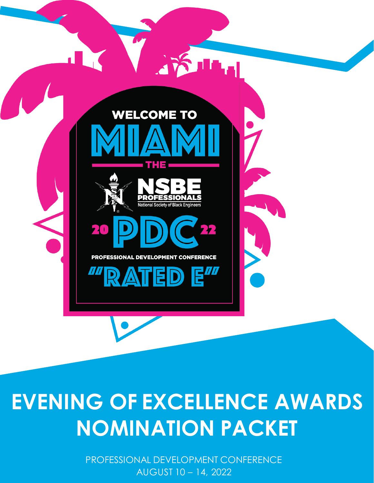

# **EVENING OF EXCELLENCE AWARDS NOMINATION PACKET**

PROFESSIONAL DEVELOPMENT CONFERENCE AUGUST 10 – 14, 2022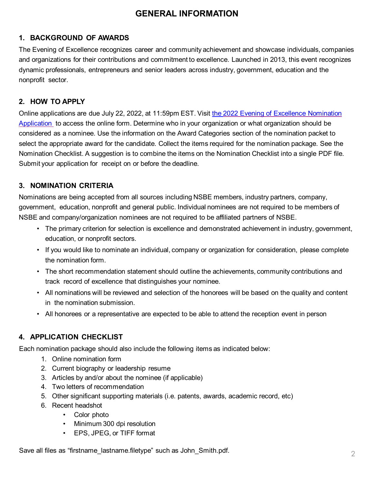### **GENERAL INFORMATION**

#### **1. BACKGROUND OF AWARDS**

The Evening of Excellence recognizes career and community achievement and showcase individuals, companies and organizations for their contributions and commitment to excellence. Launched in 2013, this event recognizes dynamic professionals, entrepreneurs and senior leaders across industry, government, education and the nonprofit sector.

#### **2. HOW TO APPLY**

Online applications are due July 22, 2022, at 11:59pm EST. Visit the 2022 Evening of Excellence Nomination [Application to access the online form. Determine who in your organization or what organization should be](https://forms.office.com/r/DfwXWR0hpm)  considered as a nominee. Use the information on the Award Categories section of the nomination packet to select the appropriate award for the candidate. Collect the items required for the nomination package. See the Nomination Checklist. A suggestion is to combine the items on the Nomination Checklist into a single PDF file. Submit your application for receipt on or before the deadline.

#### **3. NOMINATION CRITERIA**

Nominations are being accepted from all sources including NSBE members, industry partners, company, government, education, nonprofit and general public. Individual nominees are not required to be members of NSBE and company/organization nominees are not required to be affiliated partners of NSBE.

- The primary criterion for selection is excellence and demonstrated achievement in industry, government, education, or nonprofit sectors.
- If you would like to nominate an individual, company or organization for consideration, please complete the nomination form.
- The short recommendation statement should outline the achievements, community contributions and track record of excellence that distinguishes your nominee.
- All nominations will be reviewed and selection of the honorees will be based on the quality and content in the nomination submission.
- All honorees or a representative are expected to be able to attend the reception event in person

#### **4. APPLICATION CHECKLIST**

Each nomination package should also include the following items as indicated below:

- 1. Online nomination form
- 2. Current biography or leadership resume
- 3. Articles by and/or about the nominee (if applicable)
- 4. Two letters of recommendation
- 5. Other significant supporting materials (i.e. patents, awards, academic record, etc)
- 6. Recent headshot
	- Color photo
	- Minimum 300 dpi resolution
	- EPS, JPEG, or TIFF format

Save all files as "firstname\_lastname.filetype" such as John\_Smith.pdf.  $\gamma$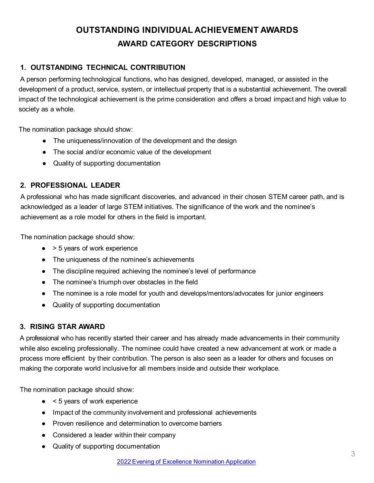## **OUTSTANDING INDIVIDUAL ACHIEVEMENT AWARDS AWARD CATEGORY DESCRIPTIONS**

#### **1. OUTSTANDING TECHNICAL CONTRIBUTION**

A person performing technological functions, who has designed, developed, managed, or assisted in the development of a product, service, system, or intellectual property that is a substantial achievement. The overall impact of the technological achievement is the prime consideration and offers a broad impact and high value to society as a whole.

The nomination package should show:

- The uniqueness/innovation of the development and the design
- The social and/or economic value of the development
- Quality of supporting documentation

#### **2. PROFESSIONAL LEADER**

A professional who has made significant discoveries, and advanced in their chosen STEM career path, and is acknowledged as a leader of large STEM initiatives. The significance of the work and the nominee's achievement as a role model for others in the field is important.

The nomination package should show:

- $\bullet$  > 5 years of work experience
- The uniqueness of the nominee's achievements
- The discipline required achieving the nominee's level of performance
- The nominee's triumph over obstacles in the field
- The nominee is a role model for youth and develops/mentors/advocates for junior engineers
- Quality of supporting documentation

#### **3. RISING STAR AWARD**

A professional who has recently started their career and has already made advancements in their community while also exceling professionally. The nominee could have created a new advancement at work or made a process more efficient by their contribution. The person is also seen as a leader for others and focuses on making the corporate world inclusive for all members inside and outside their workplace.

The nomination package should show:

- $\bullet$  < 5 years of work experience
- Impact of the community involvement and professional achievements
- Proven resilience and determination to overcome barriers
- Considered a leader within their company
- Quality of supporting documentation